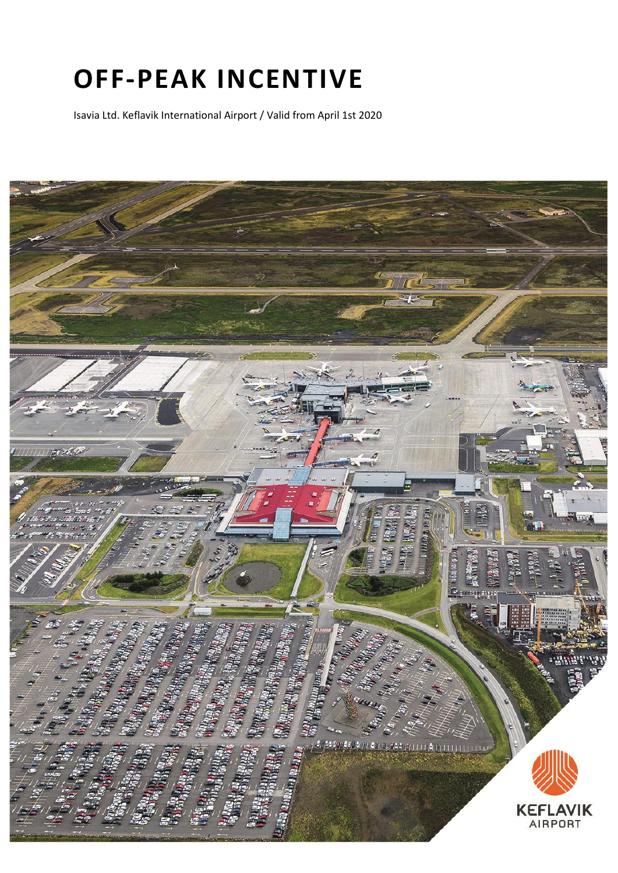# **OFF-PEAK INCENTIVE**

Isavia Ltd. Keflavik International Airport / Valid from April 1st 2020